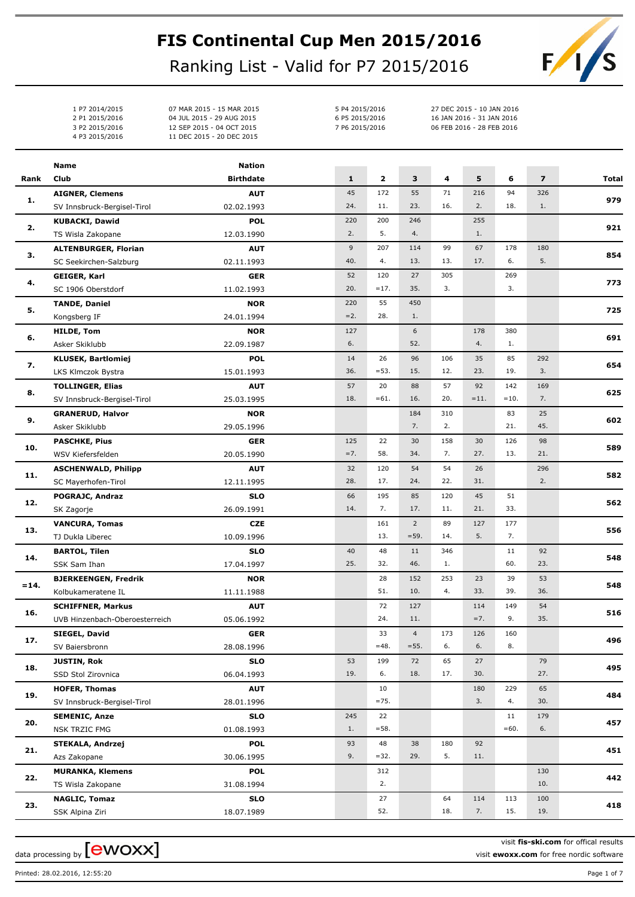## **FIS Continental Cup Men 2015/2016**

Ranking List - Valid for P7 2015/2016

5 P4 2015/2016 27 DEC 2015 - 10 JAN 2016 6 P5 2015/2016 16 JAN 2016 - 31 JAN 2016 7 P6 2015/2016 06 FEB 2016 - 28 FEB 2016

1 P7 2014/2015 07 MAR 2015 - 15 MAR 2015 2 P1 2015/2016 04 JUL 2015 - 29 AUG 2015 3 P2 2015/2016 12 SEP 2015 - 04 OCT 2015 4 P3 2015/2016 11 DEC 2015 - 20 DEC 2015



|         | Name                                         | <b>Nation</b>            |              |              |                |           |              |               |                |       |
|---------|----------------------------------------------|--------------------------|--------------|--------------|----------------|-----------|--------------|---------------|----------------|-------|
| Rank    | Club                                         | <b>Birthdate</b>         | $\mathbf{1}$ | $\mathbf{z}$ | 3              | 4         | 5            | 6             | $\overline{z}$ | Total |
|         | <b>AIGNER, Clemens</b>                       | <b>AUT</b>               | 45           | 172          | 55             | 71        | 216          | 94            | 326            |       |
| 1.      | SV Innsbruck-Bergisel-Tirol                  | 02.02.1993               | 24.          | 11.          | 23.            | 16.       | 2.           | 18.           | 1.             | 979   |
|         | <b>KUBACKI, Dawid</b>                        | <b>POL</b>               | 220          | 200          | 246            |           | 255          |               |                | 921   |
| 2.      | TS Wisla Zakopane                            | 12.03.1990               | 2.           | 5.           | 4.             |           | 1.           |               |                |       |
| з.      | <b>ALTENBURGER, Florian</b>                  | <b>AUT</b>               | 9            | 207          | 114            | 99        | 67           | 178           | 180            | 854   |
|         | SC Seekirchen-Salzburg                       | 02.11.1993               | 40.          | 4.           | 13.            | 13.       | 17.          | 6.            | 5.             |       |
| 4.      | <b>GEIGER, Karl</b>                          | <b>GER</b>               | 52           | 120          | 27             | 305       |              | 269           |                | 773   |
|         | SC 1906 Oberstdorf                           | 11.02.1993               | 20.          | $=17.$       | 35.            | 3.        |              | 3.            |                |       |
| 5.      | <b>TANDE, Daniel</b>                         | <b>NOR</b>               | 220          | 55           | 450            |           |              |               |                | 725   |
|         | Kongsberg IF                                 | 24.01.1994               | $=2.$        | 28.          | 1.             |           |              |               |                |       |
| 6.      | <b>HILDE, Tom</b>                            | <b>NOR</b>               | 127          |              | 6              |           | 178          | 380           |                | 691   |
|         | Asker Skiklubb                               | 22.09.1987               | 6.           |              | 52.            |           | 4.           | 1.            |                |       |
| 7.      | <b>KLUSEK, Bartlomiej</b>                    | <b>POL</b>               | 14           | 26           | 96             | 106       | 35           | 85            | 292            | 654   |
|         | LKS Klmczok Bystra                           | 15.01.1993               | 36.          | $= 53.$      | 15.            | 12.       | 23.          | 19.           | 3.             |       |
| 8.      | <b>TOLLINGER, Elias</b>                      | <b>AUT</b>               | 57<br>18.    | 20<br>$=61.$ | 88<br>16.      | 57<br>20. | 92<br>$=11.$ | 142<br>$=10.$ | 169<br>7.      | 625   |
|         | SV Innsbruck-Bergisel-Tirol                  | 25.03.1995               |              |              | 184            | 310       |              | 83            | 25             |       |
| 9.      | <b>GRANERUD, Halvor</b><br>Asker Skiklubb    | <b>NOR</b><br>29.05.1996 |              |              | 7.             | 2.        |              | 21.           | 45.            | 602   |
|         | <b>PASCHKE, Pius</b>                         | <b>GER</b>               | 125          | 22           | 30             | 158       | 30           | 126           | 98             |       |
| 10.     | WSV Kiefersfelden                            | 20.05.1990               | $=7.$        | 58.          | 34.            | 7.        | 27.          | 13.           | 21.            | 589   |
|         | <b>ASCHENWALD, Philipp</b>                   | <b>AUT</b>               | 32           | 120          | 54             | 54        | 26           |               | 296            |       |
| 11.     | SC Mayerhofen-Tirol                          | 12.11.1995               | 28.          | 17.          | 24.            | 22.       | 31.          |               | 2.             | 582   |
|         | POGRAJC, Andraz                              | <b>SLO</b>               | 66           | 195          | 85             | 120       | 45           | 51            |                |       |
| 12.     | SK Zagorje                                   | 26.09.1991               | 14.          | 7.           | 17.            | 11.       | 21.          | 33.           |                | 562   |
|         | <b>VANCURA, Tomas</b>                        | <b>CZE</b>               |              | 161          | $\overline{2}$ | 89        | 127          | 177           |                |       |
| 13.     | TJ Dukla Liberec                             | 10.09.1996               |              | 13.          | $= 59.$        | 14.       | 5.           | 7.            |                | 556   |
|         | <b>BARTOL, Tilen</b>                         | <b>SLO</b>               | 40           | 48           | 11             | 346       |              | 11            | 92             |       |
| 14.     | SSK Sam Ihan                                 | 17.04.1997               | 25.          | 32.          | 46.            | 1.        |              | 60.           | 23.            | 548   |
|         | <b>BJERKEENGEN, Fredrik</b>                  | <b>NOR</b>               |              | 28           | 152            | 253       | 23           | 39            | 53             | 548   |
| $= 14.$ | Kolbukameratene IL                           | 11.11.1988               |              | 51.          | 10.            | 4.        | 33.          | 39.           | 36.            |       |
| 16.     | <b>SCHIFFNER, Markus</b>                     | <b>AUT</b>               |              | 72           | 127            |           | 114          | 149           | 54             | 516   |
|         | UVB Hinzenbach-Oberoesterreich               | 05.06.1992               |              | 24.          | 11.            |           | $=7.$        | 9.            | 35.            |       |
| 17.     | SIEGEL, David                                | ${\sf GER}$              |              | 33           | $\overline{4}$ | 173       | 126          | 160           |                | 496   |
|         | SV Baiersbronn                               | 28.08.1996               |              | $=48.$       | $= 55.$        | 6.        | 6.           | 8.            |                |       |
| 18.     | <b>JUSTIN, Rok</b>                           | <b>SLO</b>               | 53           | 199          | 72             | 65        | 27           |               | 79             | 495   |
|         | SSD Stol Zirovnica                           | 06.04.1993               | 19.          | 6.           | 18.            | 17.       | 30.          |               | 27.            |       |
| 19.     | <b>HOFER, Thomas</b>                         | <b>AUT</b>               |              | 10           |                |           | 180          | 229           | 65             | 484   |
|         | SV Innsbruck-Bergisel-Tirol                  | 28.01.1996               |              | $= 75.$      |                |           | 3.           | 4.            | 30.            |       |
| 20.     | <b>SEMENIC, Anze</b>                         | <b>SLO</b>               | 245          | 22           |                |           |              | 11            | 179            | 457   |
|         | NSK TRZIC FMG                                | 01.08.1993               | 1.           | $= 58.$      |                |           |              | $=60.$        | 6.             |       |
| 21.     | <b>STEKALA, Andrzej</b>                      | <b>POL</b>               | 93<br>9.     | 48<br>$=32.$ | 38<br>29.      | 180<br>5. | 92<br>11.    |               |                | 451   |
|         | Azs Zakopane                                 | 30.06.1995<br><b>POL</b> |              | 312          |                |           |              |               | 130            |       |
| 22.     | <b>MURANKA, Klemens</b><br>TS Wisla Zakopane | 31.08.1994               |              | 2.           |                |           |              |               | 10.            | 442   |
|         | <b>NAGLIC, Tomaz</b>                         | <b>SLO</b>               |              | 27           |                | 64        | 114          | 113           | 100            |       |
|         |                                              |                          |              |              |                |           |              |               |                |       |

**23. 418**

SSK Alpina Ziri 18. 18. 18. 18. 18. 18. 1989 18. 18. 18. 18. 18. 15. 15. 18. 15.

18.07.1989

data processing by  ${\rm [ewoxx]}$ 

visit **fis-ski.com** for offical results

visit **ewoxx.com** for free nordic software

19.

Printed: 28.02.2016, 12:55:20 Page 1 of 7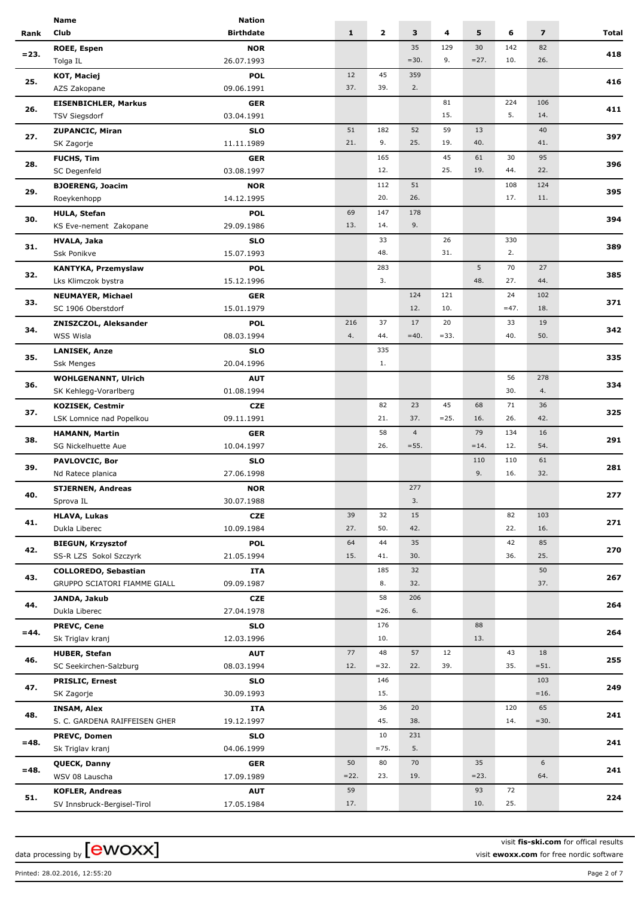|         | <b>Name</b>                   | <b>Nation</b>    |              |              |                |         |           |           |                         |       |
|---------|-------------------------------|------------------|--------------|--------------|----------------|---------|-----------|-----------|-------------------------|-------|
| Rank    | Club                          | <b>Birthdate</b> | $\mathbf{1}$ | $\mathbf{2}$ | 3              | 4       | 5         | 6         | $\overline{\mathbf{z}}$ | Total |
|         | ROEE, Espen                   | <b>NOR</b>       |              |              | 35             | 129     | 30        | 142       | 82                      |       |
| $= 23.$ | Tolga IL                      | 26.07.1993       |              |              | $=30.$         | 9.      | $=27.$    | 10.       | 26.                     | 418   |
|         | KOT, Maciej                   | <b>POL</b>       | 12           | 45           | 359            |         |           |           |                         |       |
| 25.     | AZS Zakopane                  | 09.06.1991       | 37.          | 39.          | 2.             |         |           |           |                         | 416   |
|         | <b>EISENBICHLER, Markus</b>   | <b>GER</b>       |              |              |                | 81      |           | 224       | 106                     |       |
| 26.     | TSV Siegsdorf                 | 03.04.1991       |              |              |                | 15.     |           | 5.        | 14.                     | 411   |
|         |                               |                  | 51           | 182          | 52             | 59      | 13        |           | 40                      |       |
| 27.     | <b>ZUPANCIC, Miran</b>        | <b>SLO</b>       | 21.          | 9.           | 25.            | 19.     | 40.       |           | 41.                     | 397   |
|         | SK Zagorje                    | 11.11.1989       |              |              |                |         |           |           |                         |       |
| 28.     | <b>FUCHS, Tim</b>             | <b>GER</b>       |              | 165          |                | 45      | 61        | 30        | 95                      | 396   |
|         | SC Degenfeld                  | 03.08.1997       |              | 12.          |                | 25.     | 19.       | 44.       | 22.                     |       |
| 29.     | <b>BJOERENG, Joacim</b>       | <b>NOR</b>       |              | 112          | 51             |         |           | 108       | 124                     | 395   |
|         | Roeykenhopp                   | 14.12.1995       |              | 20.          | 26.            |         |           | 17.       | 11.                     |       |
| 30.     | <b>HULA, Stefan</b>           | <b>POL</b>       | 69           | 147          | 178            |         |           |           |                         | 394   |
|         | KS Eve-nement Zakopane        | 29.09.1986       | 13.          | 14.          | 9.             |         |           |           |                         |       |
| 31.     | <b>HVALA, Jaka</b>            | <b>SLO</b>       |              | 33           |                | 26      |           | 330       |                         | 389   |
|         | Ssk Ponikve                   | 15.07.1993       |              | 48.          |                | 31.     |           | 2.        |                         |       |
|         | <b>KANTYKA, Przemyslaw</b>    | <b>POL</b>       |              | 283          |                |         | 5         | 70        | 27                      | 385   |
| 32.     | Lks Klimczok bystra           | 15.12.1996       |              | 3.           |                |         | 48.       | 27.       | 44.                     |       |
|         | <b>NEUMAYER, Michael</b>      | <b>GER</b>       |              |              | 124            | 121     |           | 24        | 102                     |       |
| 33.     | SC 1906 Oberstdorf            | 15.01.1979       |              |              | 12.            | 10.     |           | $=47.$    | 18.                     | 371   |
|         | ZNISZCZOL, Aleksander         | <b>POL</b>       | 216          | 37           | 17             | 20      |           | 33        | 19                      |       |
| 34.     | WSS Wisla                     | 08.03.1994       | 4.           | 44.          | $=40.$         | $= 33.$ |           | 40.       | 50.                     | 342   |
|         | <b>LANISEK, Anze</b>          | <b>SLO</b>       |              | 335          |                |         |           |           |                         |       |
| 35.     | Ssk Menges                    | 20.04.1996       |              | 1.           |                |         |           |           |                         | 335   |
|         | <b>WOHLGENANNT, Ulrich</b>    | <b>AUT</b>       |              |              |                |         |           | 56        | 278                     |       |
| 36.     | SK Kehlegg-Vorarlberg         | 01.08.1994       |              |              |                |         |           | 30.       | 4.                      | 334   |
|         |                               |                  |              |              | 23             | 45      |           |           |                         |       |
| 37.     | <b>KOZISEK, Cestmir</b>       | <b>CZE</b>       |              | 82<br>21.    | 37.            | $=25.$  | 68<br>16. | 71<br>26. | 36<br>42.               | 325   |
| 38.     | LSK Lomnice nad Popelkou      | 09.11.1991       |              |              |                |         |           |           |                         |       |
|         | <b>HAMANN, Martin</b>         | <b>GER</b>       |              | 58           | $\overline{4}$ |         | 79        | 134       | 16                      | 291   |
|         | SG Nickelhuette Aue           | 10.04.1997       |              | 26.          | $= 55.$        |         | $=14.$    | 12.       | 54.                     |       |
| 39.     | PAVLOVCIC, Bor                | <b>SLO</b>       |              |              |                |         | 110       | 110       | 61                      | 281   |
|         | Nd Ratece planica             | 27.06.1998       |              |              |                |         | 9.        | 16.       | 32.                     |       |
| 40.     | <b>STJERNEN, Andreas</b>      | <b>NOR</b>       |              |              | 277            |         |           |           |                         | 277   |
|         | Sprova IL                     | 30.07.1988       |              |              | 3.             |         |           |           |                         |       |
| 41.     | <b>HLAVA, Lukas</b>           | <b>CZE</b>       | 39           | 32           | 15             |         |           | 82        | 103                     | 271   |
|         | Dukla Liberec                 | 10.09.1984       | 27.          | 50.          | 42.            |         |           | 22.       | 16.                     |       |
| 42.     | <b>BIEGUN, Krzysztof</b>      | <b>POL</b>       | 64           | 44           | 35             |         |           | 42        | 85                      | 270   |
|         | SS-R LZS Sokol Szczyrk        | 21.05.1994       | 15.          | 41.          | 30.            |         |           | 36.       | 25.                     |       |
| 43.     | <b>COLLOREDO, Sebastian</b>   | ITA              |              | 185          | 32             |         |           |           | 50                      | 267   |
|         | GRUPPO SCIATORI FIAMME GIALL  | 09.09.1987       |              | 8.           | 32.            |         |           |           | 37.                     |       |
|         | JANDA, Jakub                  | <b>CZE</b>       |              | 58           | 206            |         |           |           |                         |       |
| 44.     | Dukla Liberec                 | 27.04.1978       |              | $= 26.$      | 6.             |         |           |           |                         | 264   |
|         | <b>PREVC, Cene</b>            | <b>SLO</b>       |              | 176          |                |         | 88        |           |                         |       |
| $= 44.$ | Sk Triglav kranj              | 12.03.1996       |              | 10.          |                |         | 13.       |           |                         | 264   |
|         | <b>HUBER, Stefan</b>          | <b>AUT</b>       | 77           | 48           | 57             | 12      |           | 43        | 18                      |       |
| 46.     | SC Seekirchen-Salzburg        | 08.03.1994       | 12.          | $=32.$       | 22.            | 39.     |           | 35.       | $= 51.$                 | 255   |
|         | <b>PRISLIC, Ernest</b>        | <b>SLO</b>       |              | 146          |                |         |           |           | 103                     |       |
| 47.     | SK Zagorje                    | 30.09.1993       |              | 15.          |                |         |           |           | $=16.$                  | 249   |
|         | <b>INSAM, Alex</b>            | ITA              |              | 36           | 20             |         |           | 120       | 65                      |       |
| 48.     | S. C. GARDENA RAIFFEISEN GHER | 19.12.1997       |              | 45.          | 38.            |         |           | 14.       | $=30.$                  | 241   |
|         | PREVC, Domen                  | SLO              |              | 10           | 231            |         |           |           |                         |       |
| $= 48.$ |                               | 04.06.1999       |              | $=75.$       | 5.             |         |           |           |                         | 241   |
|         | Sk Triglav kranj              |                  |              |              |                |         |           |           |                         |       |
| $= 48.$ | QUECK, Danny                  | GER              | 50           | 80           | 70             |         | 35        |           | 6                       | 241   |
|         | WSV 08 Lauscha                | 17.09.1989       | $=22.$       | 23.          | 19.            |         | $= 23.$   |           | 64.                     |       |
| 51.     | <b>KOFLER, Andreas</b>        | <b>AUT</b>       | 59           |              |                |         | 93        | 72        |                         | 224   |
|         | SV Innsbruck-Bergisel-Tirol   | 17.05.1984       | 17.          |              |                |         | 10.       | 25.       |                         |       |

visit **fis-ski.com** for offical results visit **ewoxx.com** for free nordic software

Printed: 28.02.2016, 12:55:20 Page 2 of 7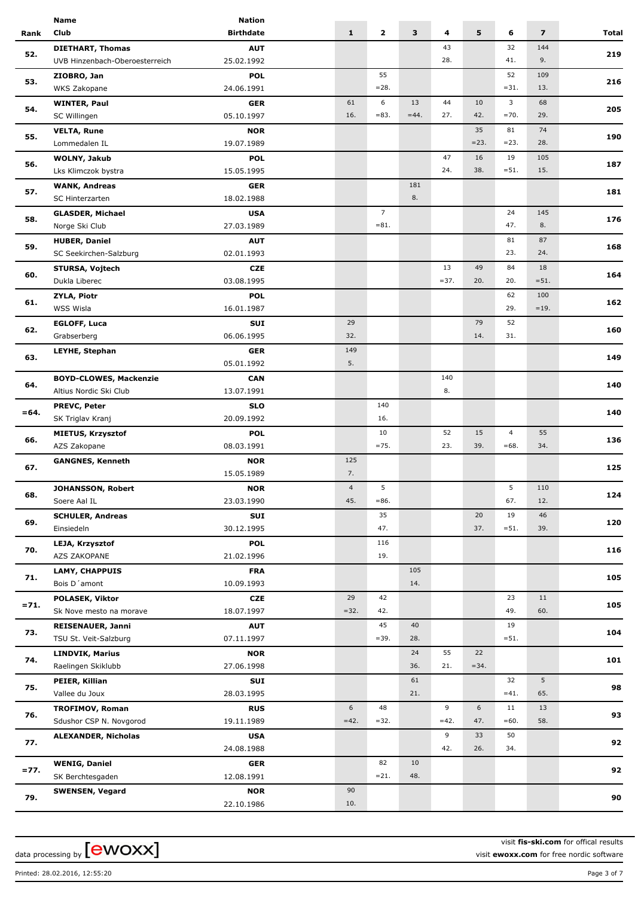|         | <b>Name</b>                    | <b>Nation</b>    |                |                |                         |         |         |                         |                         |       |
|---------|--------------------------------|------------------|----------------|----------------|-------------------------|---------|---------|-------------------------|-------------------------|-------|
| Rank    | Club                           | <b>Birthdate</b> | $\mathbf{1}$   | $\mathbf{2}$   | $\overline{\mathbf{3}}$ | 4       | 5       | 6                       | $\overline{\mathbf{z}}$ | Total |
|         | <b>DIETHART, Thomas</b>        | <b>AUT</b>       |                |                |                         | 43      |         | 32                      | 144                     |       |
| 52.     | UVB Hinzenbach-Oberoesterreich | 25.02.1992       |                |                |                         | 28.     |         | 41.                     | 9.                      | 219   |
|         | ZIOBRO, Jan                    | <b>POL</b>       |                | 55             |                         |         |         | 52                      | 109                     |       |
| 53.     | <b>WKS Zakopane</b>            | 24.06.1991       |                | $=28.$         |                         |         |         | $=31.$                  | 13.                     | 216   |
|         |                                | <b>GER</b>       | 61             | 6              | 13                      | 44      | 10      | $\overline{\mathbf{3}}$ | 68                      |       |
| 54.     | <b>WINTER, Paul</b>            |                  | 16.            | $= 83.$        | $=44.$                  | 27.     | 42.     | $= 70.$                 | 29.                     | 205   |
|         | SC Willingen                   | 05.10.1997       |                |                |                         |         |         |                         |                         |       |
| 55.     | <b>VELTA, Rune</b>             | <b>NOR</b>       |                |                |                         |         | 35      | 81                      | 74                      | 190   |
|         | Lommedalen IL                  | 19.07.1989       |                |                |                         |         | $= 23.$ | $= 23.$                 | 28.                     |       |
| 56.     | WOLNY, Jakub                   | <b>POL</b>       |                |                |                         | 47      | 16      | 19                      | 105                     | 187   |
|         | Lks Klimczok bystra            | 15.05.1995       |                |                |                         | 24.     | 38.     | $= 51.$                 | 15.                     |       |
|         | <b>WANK, Andreas</b>           | <b>GER</b>       |                |                | 181                     |         |         |                         |                         |       |
| 57.     | SC Hinterzarten                | 18.02.1988       |                |                | 8.                      |         |         |                         |                         | 181   |
| 58.     | <b>GLASDER, Michael</b>        | <b>USA</b>       |                | $\overline{7}$ |                         |         |         | 24                      | 145                     |       |
|         | Norge Ski Club                 | 27.03.1989       |                | $= 81.$        |                         |         |         | 47.                     | 8.                      | 176   |
|         | <b>HUBER, Daniel</b>           | <b>AUT</b>       |                |                |                         |         |         | 81                      | 87                      |       |
| 59.     | SC Seekirchen-Salzburg         | 02.01.1993       |                |                |                         |         |         | 23.                     | 24.                     | 168   |
|         |                                |                  |                |                |                         |         |         |                         |                         |       |
| 60.     | <b>STURSA, Vojtech</b>         | <b>CZE</b>       |                |                |                         | 13      | 49      | 84                      | 18                      | 164   |
|         | Dukla Liberec                  | 03.08.1995       |                |                |                         | $= 37.$ | 20.     | 20.                     | $= 51.$                 |       |
| 61.     | <b>ZYLA, Piotr</b>             | <b>POL</b>       |                |                |                         |         |         | 62                      | 100                     | 162   |
|         | WSS Wisla                      | 16.01.1987       |                |                |                         |         |         | 29.                     | $=19.$                  |       |
| 62.     | <b>EGLOFF, Luca</b>            | SUI              | 29             |                |                         |         | 79      | 52                      |                         |       |
|         | Grabserberg                    | 06.06.1995       | 32.            |                |                         |         | 14.     | 31.                     |                         | 160   |
|         | LEYHE, Stephan                 | <b>GER</b>       | 149            |                |                         |         |         |                         |                         |       |
| 63.     |                                | 05.01.1992       | 5.             |                |                         |         |         |                         |                         | 149   |
|         | <b>BOYD-CLOWES, Mackenzie</b>  | <b>CAN</b>       |                |                |                         | 140     |         |                         |                         |       |
| 64.     | Altius Nordic Ski Club         | 13.07.1991       |                |                |                         | 8.      |         |                         |                         | 140   |
|         |                                |                  |                |                |                         |         |         |                         |                         |       |
| $= 64.$ | PREVC, Peter                   | <b>SLO</b>       |                | 140            |                         |         |         |                         |                         | 140   |
|         | SK Triglav Kranj               | 20.09.1992       |                | 16.            |                         |         |         |                         |                         |       |
| 66.     | <b>MIETUS, Krzysztof</b>       | <b>POL</b>       |                | 10             |                         | 52      | 15      | $\overline{4}$          | 55                      | 136   |
|         | AZS Zakopane                   | 08.03.1991       |                | $=75.$         |                         | 23.     | 39.     | $=68.$                  | 34.                     |       |
|         | <b>GANGNES, Kenneth</b>        | <b>NOR</b>       | 125            |                |                         |         |         |                         |                         |       |
| 67.     |                                | 15.05.1989       | 7.             |                |                         |         |         |                         |                         | 125   |
|         | JOHANSSON, Robert              | <b>NOR</b>       | $\overline{4}$ | 5              |                         |         |         | 5                       | 110                     |       |
| 68.     | Soere Aal IL                   | 23.03.1990       | 45.            | $= 86.$        |                         |         |         | 67.                     | 12.                     | 124   |
|         | <b>SCHULER, Andreas</b>        | <b>SUI</b>       |                | 35             |                         |         | 20      | 19                      | 46                      |       |
| 69.     | Einsiedeln                     | 30.12.1995       |                | 47.            |                         |         | 37.     | $= 51.$                 | 39.                     | 120   |
|         |                                |                  |                |                |                         |         |         |                         |                         |       |
| 70.     | LEJA, Krzysztof                | <b>POL</b>       |                | 116            |                         |         |         |                         |                         | 116   |
|         | AZS ZAKOPANE                   | 21.02.1996       |                | 19.            |                         |         |         |                         |                         |       |
| 71.     | <b>LAMY, CHAPPUIS</b>          | <b>FRA</b>       |                |                | 105                     |         |         |                         |                         | 105   |
|         | Bois D'amont                   | 10.09.1993       |                |                | 14.                     |         |         |                         |                         |       |
|         | <b>POLASEK, Viktor</b>         | <b>CZE</b>       | 29             | 42             |                         |         |         | 23                      | 11                      |       |
| $= 71.$ | Sk Nove mesto na morave        | 18.07.1997       | $= 32.$        | 42.            |                         |         |         | 49.                     | 60.                     | 105   |
|         | <b>REISENAUER, Janni</b>       | <b>AUT</b>       |                | 45             | 40                      |         |         | 19                      |                         |       |
| 73.     | TSU St. Veit-Salzburg          | 07.11.1997       |                | $= 39.$        | 28.                     |         |         | $= 51.$                 |                         | 104   |
|         | <b>LINDVIK, Marius</b>         | <b>NOR</b>       |                |                | 24                      | 55      | 22      |                         |                         |       |
| 74.     | Raelingen Skiklubb             | 27.06.1998       |                |                | 36.                     | 21.     | $= 34.$ |                         |                         | 101   |
|         |                                |                  |                |                |                         |         |         |                         |                         |       |
| 75.     | PEIER, Killian                 | SUI              |                |                | 61                      |         |         | 32                      | 5                       | 98    |
|         | Vallee du Joux                 | 28.03.1995       |                |                | 21.                     |         |         | $=41.$                  | 65.                     |       |
| 76.     | <b>TROFIMOV, Roman</b>         | <b>RUS</b>       | 6              | 48             |                         | 9       | 6       | 11                      | 13                      | 93    |
|         | Sdushor CSP N. Novgorod        | 19.11.1989       | $=42.$         | $= 32.$        |                         | $=42.$  | 47.     | $=60.$                  | 58.                     |       |
|         | <b>ALEXANDER, Nicholas</b>     | <b>USA</b>       |                |                |                         | 9       | 33      | 50                      |                         |       |
| 77.     |                                | 24.08.1988       |                |                |                         | 42.     | 26.     | 34.                     |                         | 92    |
|         | <b>WENIG, Daniel</b>           | <b>GER</b>       |                | 82             | 10                      |         |         |                         |                         |       |
| $= 77.$ | SK Berchtesgaden               | 12.08.1991       |                | $= 21.$        | 48.                     |         |         |                         |                         | 92    |
|         | <b>SWENSEN, Vegard</b>         | <b>NOR</b>       | 90             |                |                         |         |         |                         |                         |       |
| 79.     |                                | 22.10.1986       | 10.            |                |                         |         |         |                         |                         | 90    |
|         |                                |                  |                |                |                         |         |         |                         |                         |       |

visit **fis-ski.com** for offical results

Printed: 28.02.2016, 12:55:20 Page 3 of 7

visit **ewoxx.com** for free nordic software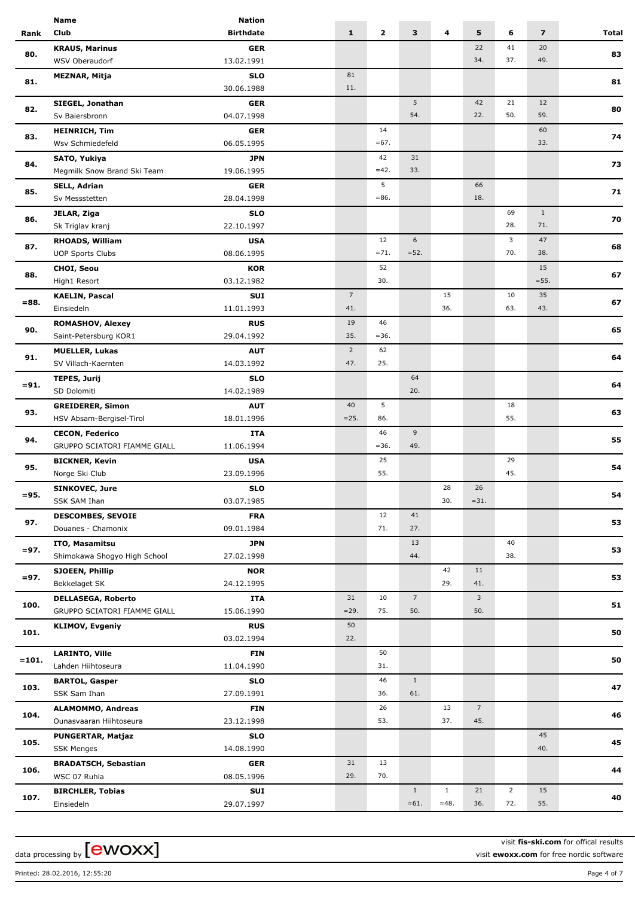|         | Name                                             | <b>Nation</b>            |                       |              |                 |              |                 |                |                         |       |
|---------|--------------------------------------------------|--------------------------|-----------------------|--------------|-----------------|--------------|-----------------|----------------|-------------------------|-------|
| Rank    | Club                                             | <b>Birthdate</b>         | $\mathbf{1}$          | $\mathbf{2}$ | 3               | 4            | 5               | 6              | $\overline{\mathbf{z}}$ | Total |
|         | <b>KRAUS, Marinus</b>                            | <b>GER</b>               |                       |              |                 |              | 22              | 41             | 20                      |       |
| 80.     | WSV Oberaudorf                                   | 13.02.1991               |                       |              |                 |              | 34.             | 37.            | 49.                     | 83    |
|         | MEZNAR, Mitja                                    | <b>SLO</b>               | 81                    |              |                 |              |                 |                |                         |       |
| 81.     |                                                  | 30.06.1988               | 11.                   |              |                 |              |                 |                |                         | 81    |
|         | SIEGEL, Jonathan                                 | <b>GER</b>               |                       |              | 5               |              | 42              | 21             | 12                      |       |
| 82.     | Sv Baiersbronn                                   | 04.07.1998               |                       |              | 54.             |              | 22.             | 50.            | 59.                     | 80    |
|         | <b>HEINRICH, Tim</b>                             | <b>GER</b>               |                       | 14           |                 |              |                 |                | 60                      |       |
| 83.     | Wsv Schmiedefeld                                 | 06.05.1995               |                       | $=67.$       |                 |              |                 |                | 33.                     | 74    |
|         | SATO, Yukiya                                     | <b>JPN</b>               |                       | 42           | 31              |              |                 |                |                         |       |
| 84.     | Megmilk Snow Brand Ski Team                      | 19.06.1995               |                       | $=42.$       | 33.             |              |                 |                |                         | 73    |
|         | <b>SELL, Adrian</b>                              | <b>GER</b>               |                       | 5            |                 |              | 66              |                |                         |       |
| 85.     | Sv Messstetten                                   | 28.04.1998               |                       | $= 86.$      |                 |              | 18.             |                |                         | 71    |
|         | JELAR, Ziga                                      | <b>SLO</b>               |                       |              |                 |              |                 | 69             | $\mathbf{1}$            |       |
| 86.     | Sk Triglav kranj                                 | 22.10.1997               |                       |              |                 |              |                 | 28.            | 71.                     | 70    |
|         | RHOADS, William                                  | <b>USA</b>               |                       | 12           | 6               |              |                 | $\overline{3}$ | 47                      |       |
| 87.     | <b>UOP Sports Clubs</b>                          | 08.06.1995               |                       | $=71.$       | $= 52.$         |              |                 | 70.            | 38.                     | 68    |
|         |                                                  |                          |                       | 52           |                 |              |                 |                | 15                      |       |
| 88.     | <b>CHOI, Seou</b><br>High1 Resort                | <b>KOR</b><br>03.12.1982 |                       | 30.          |                 |              |                 |                | $= 55.$                 | 67    |
|         |                                                  |                          | $\overline{7}$        |              |                 | 15           |                 | 10             | 35                      |       |
| $= 88.$ | <b>KAELIN, Pascal</b><br>Einsiedeln              | SUI<br>11.01.1993        | 41.                   |              |                 | 36.          |                 | 63.            | 43.                     | 67    |
|         |                                                  |                          | 19                    | 46           |                 |              |                 |                |                         |       |
| 90.     | <b>ROMASHOV, Alexey</b><br>Saint-Petersburg KOR1 | <b>RUS</b><br>29.04.1992 | 35.                   | $=36.$       |                 |              |                 |                |                         | 65    |
|         |                                                  |                          |                       |              |                 |              |                 |                |                         |       |
| 91.     | <b>MUELLER, Lukas</b>                            | <b>AUT</b>               | $\overline{2}$<br>47. | 62<br>25.    |                 |              |                 |                |                         | 64    |
|         | SV Villach-Kaernten                              | 14.03.1992               |                       |              |                 |              |                 |                |                         |       |
| $= 91.$ | <b>TEPES, Jurij</b>                              | <b>SLO</b>               |                       |              | 64<br>20.       |              |                 |                |                         | 64    |
|         | SD Dolomiti                                      | 14.02.1989               |                       |              |                 |              |                 |                |                         |       |
| 93.     | <b>GREIDERER, Simon</b>                          | <b>AUT</b>               | 40<br>$= 25.$         | 5            |                 |              |                 | 18<br>55.      |                         | 63    |
|         | HSV Absam-Bergisel-Tirol                         | 18.01.1996               |                       | 86.          |                 |              |                 |                |                         |       |
| 94.     | <b>CECON, Federico</b>                           | <b>ITA</b>               |                       | 46           | 9               |              |                 |                |                         | 55    |
|         | GRUPPO SCIATORI FIAMME GIALL                     | 11.06.1994               |                       | $=36.$       | 49.             |              |                 |                |                         |       |
| 95.     | <b>BICKNER, Kevin</b>                            | <b>USA</b>               |                       | 25           |                 |              |                 | 29             |                         | 54    |
|         | Norge Ski Club                                   | 23.09.1996               |                       | 55.          |                 |              |                 | 45.            |                         |       |
| $= 95.$ | <b>SINKOVEC, Jure</b>                            | <b>SLO</b>               |                       |              |                 | 28           | 26              |                |                         | 54    |
|         | SSK SAM Ihan                                     | 03.07.1985               |                       |              |                 | 30.          | $= 31.$         |                |                         |       |
| 97.     | <b>DESCOMBES, SEVOIE</b>                         | <b>FRA</b>               |                       | 12           | 41              |              |                 |                |                         | 53    |
|         | Douanes - Chamonix                               | 09.01.1984               |                       | 71.          | 27.             |              |                 |                |                         |       |
| $= 97.$ | ITO, Masamitsu                                   | <b>JPN</b>               |                       |              | 13              |              |                 | 40             |                         | 53    |
|         | Shimokawa Shogyo High School                     | 27.02.1998               |                       |              | 44.             |              |                 | 38.            |                         |       |
| $= 97.$ | <b>SJOEEN, Phillip</b>                           | <b>NOR</b>               |                       |              |                 | 42           | 11              |                |                         | 53    |
|         | Bekkelaget SK                                    | 24.12.1995               |                       |              |                 | 29.          | 41.             |                |                         |       |
| 100.    | <b>DELLASEGA, Roberto</b>                        | ITA                      | 31                    | 10           | $7\overline{ }$ |              | $\overline{3}$  |                |                         | 51    |
|         | GRUPPO SCIATORI FIAMME GIALL                     | 15.06.1990               | $= 29.$               | 75.          | 50.             |              | 50.             |                |                         |       |
| 101.    | <b>KLIMOV, Evgeniy</b>                           | <b>RUS</b>               | 50                    |              |                 |              |                 |                |                         | 50    |
|         |                                                  | 03.02.1994               | 22.                   |              |                 |              |                 |                |                         |       |
| $=101.$ | <b>LARINTO, Ville</b>                            | <b>FIN</b>               |                       | 50           |                 |              |                 |                |                         | 50    |
|         | Lahden Hiihtoseura                               | 11.04.1990               |                       | 31.          |                 |              |                 |                |                         |       |
| 103.    | <b>BARTOL, Gasper</b>                            | <b>SLO</b>               |                       | 46           | $\mathbf{1}$    |              |                 |                |                         | 47    |
|         | SSK Sam Ihan                                     | 27.09.1991               |                       | 36.          | 61.             |              |                 |                |                         |       |
| 104.    | <b>ALAMOMMO, Andreas</b>                         | <b>FIN</b>               |                       | 26           |                 | 13           | $7\overline{ }$ |                |                         | 46    |
|         | Ounasvaaran Hiihtoseura                          | 23.12.1998               |                       | 53.          |                 | 37.          | 45.             |                |                         |       |
| 105.    | PUNGERTAR, Matjaz                                | <b>SLO</b>               |                       |              |                 |              |                 |                | 45                      | 45    |
|         | <b>SSK Menges</b>                                | 14.08.1990               |                       |              |                 |              |                 |                | 40.                     |       |
| 106.    | <b>BRADATSCH, Sebastian</b>                      | <b>GER</b>               | 31                    | 13           |                 |              |                 |                |                         | 44    |
|         | WSC 07 Ruhla                                     | 08.05.1996               | 29.                   | 70.          |                 |              |                 |                |                         |       |
| 107.    | <b>BIRCHLER, Tobias</b>                          | SUI                      |                       |              | $\mathbf{1}$    | $\mathbf{1}$ | 21              | $\overline{2}$ | 15                      | 40    |
|         | Einsiedeln                                       | 29.07.1997               |                       |              | $=61.$          | $=48.$       | 36.             | 72.            | 55.                     |       |

visit **fis-ski.com** for offical results

visit **ewoxx.com** for free nordic software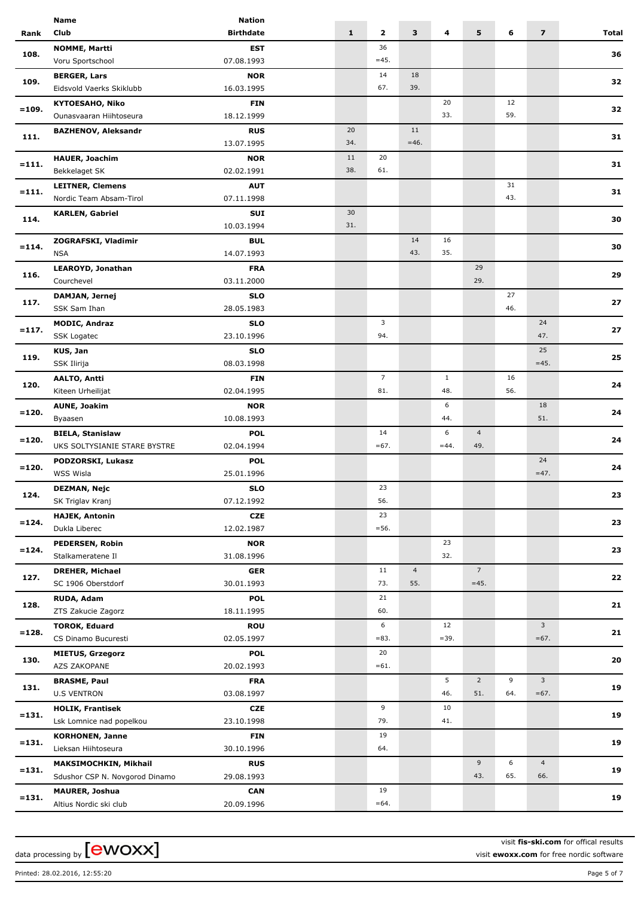|          | <b>Name</b>                    | <b>Nation</b>            |              |                |                |              |                 |     |                         |       |
|----------|--------------------------------|--------------------------|--------------|----------------|----------------|--------------|-----------------|-----|-------------------------|-------|
| Rank     | Club                           | <b>Birthdate</b>         | $\mathbf{1}$ | $\mathbf{z}$   | 3              | 4            | 5               | 6   | $\overline{\mathbf{z}}$ | Total |
|          | <b>NOMME, Martti</b>           | <b>EST</b>               |              | 36             |                |              |                 |     |                         |       |
| 108.     | Voru Sportschool               | 07.08.1993               |              | $=45.$         |                |              |                 |     |                         | 36    |
|          | <b>BERGER, Lars</b>            | <b>NOR</b>               |              | 14             | 18             |              |                 |     |                         |       |
| 109.     | Eidsvold Vaerks Skiklubb       | 16.03.1995               |              | 67.            | 39.            |              |                 |     |                         | 32    |
|          | <b>KYTOESAHO, Niko</b>         | <b>FIN</b>               |              |                |                | 20           |                 | 12  |                         |       |
| $=109.$  | Ounasvaaran Hiihtoseura        | 18.12.1999               |              |                |                | 33.          |                 | 59. |                         | 32    |
|          |                                |                          |              |                |                |              |                 |     |                         |       |
| 111.     | <b>BAZHENOV, Aleksandr</b>     | <b>RUS</b>               | 20           |                | 11             |              |                 |     |                         | 31    |
|          |                                | 13.07.1995               | 34.          |                | $=46.$         |              |                 |     |                         |       |
| $= 111.$ | <b>HAUER, Joachim</b>          | <b>NOR</b>               | 11           | 20             |                |              |                 |     |                         | 31    |
|          | Bekkelaget SK                  | 02.02.1991               | 38.          | 61.            |                |              |                 |     |                         |       |
| $= 111.$ | <b>LEITNER, Clemens</b>        | <b>AUT</b>               |              |                |                |              |                 | 31  |                         | 31    |
|          | Nordic Team Absam-Tirol        | 07.11.1998               |              |                |                |              |                 | 43. |                         |       |
|          | <b>KARLEN, Gabriel</b>         | <b>SUI</b>               | 30           |                |                |              |                 |     |                         |       |
| 114.     |                                | 10.03.1994               | 31.          |                |                |              |                 |     |                         | 30    |
|          | ZOGRAFSKI, Vladimir            | <b>BUL</b>               |              |                | 14             | 16           |                 |     |                         |       |
| $= 114.$ | <b>NSA</b>                     | 14.07.1993               |              |                | 43.            | 35.          |                 |     |                         | 30    |
|          | <b>LEAROYD, Jonathan</b>       | <b>FRA</b>               |              |                |                |              | 29              |     |                         |       |
| 116.     | Courchevel                     | 03.11.2000               |              |                |                |              | 29.             |     |                         | 29    |
|          |                                |                          |              |                |                |              |                 | 27  |                         |       |
| 117.     | DAMJAN, Jernej                 | <b>SLO</b>               |              |                |                |              |                 | 46. |                         | 27    |
|          | SSK Sam Ihan                   | 28.05.1983               |              |                |                |              |                 |     |                         |       |
| $= 117.$ | <b>MODIC, Andraz</b>           | <b>SLO</b>               |              | 3              |                |              |                 |     | 24                      | 27    |
|          | <b>SSK Logatec</b>             | 23.10.1996               |              | 94.            |                |              |                 |     | 47.                     |       |
| 119.     | KUS, Jan                       | <b>SLO</b>               |              |                |                |              |                 |     | 25                      | 25    |
|          | SSK Ilirija                    | 08.03.1998               |              |                |                |              |                 |     | $=45.$                  |       |
|          | <b>AALTO, Antti</b>            | <b>FIN</b>               |              | $\overline{7}$ |                | $\mathbf{1}$ |                 | 16  |                         |       |
| 120.     | Kiteen Urheilijat              | 02.04.1995               |              | 81.            |                | 48.          |                 | 56. |                         | 24    |
|          | <b>AUNE, Joakim</b>            | <b>NOR</b>               |              |                |                | 6            |                 |     | 18                      |       |
| $= 120.$ | Byaasen                        | 10.08.1993               |              |                |                | 44.          |                 |     | 51.                     | 24    |
|          | <b>BIELA, Stanislaw</b>        | <b>POL</b>               |              | 14             |                | 6            | $\overline{4}$  |     |                         |       |
| $= 120.$ | UKS SOLTYSIANIE STARE BYSTRE   | 02.04.1994               |              | $=67.$         |                | $=44.$       | 49.             |     |                         | 24    |
|          |                                |                          |              |                |                |              |                 |     | 24                      |       |
| $= 120.$ | PODZORSKI, Lukasz              | <b>POL</b><br>25.01.1996 |              |                |                |              |                 |     | $=47.$                  | 24    |
|          | <b>WSS Wisla</b>               |                          |              |                |                |              |                 |     |                         |       |
| 124.     | <b>DEZMAN, Nejc</b>            | <b>SLO</b>               |              | 23             |                |              |                 |     |                         | 23    |
|          | SK Triglav Kranj               | 07.12.1992               |              | 56.            |                |              |                 |     |                         |       |
| $= 124.$ | <b>HAJEK, Antonin</b>          | <b>CZE</b>               |              | 23             |                |              |                 |     |                         | 23    |
|          | Dukla Liberec                  | 12.02.1987               |              | $= 56.$        |                |              |                 |     |                         |       |
| $= 124.$ | PEDERSEN, Robin                | <b>NOR</b>               |              |                |                | 23           |                 |     |                         | 23    |
|          | Stalkameratene Il              | 31.08.1996               |              |                |                | 32.          |                 |     |                         |       |
|          | <b>DREHER, Michael</b>         | <b>GER</b>               |              | 11             | $\overline{4}$ |              | $7\overline{ }$ |     |                         |       |
| 127.     | SC 1906 Oberstdorf             | 30.01.1993               |              | 73.            | 55.            |              | $=45.$          |     |                         | 22    |
|          | RUDA, Adam                     | <b>POL</b>               |              | 21             |                |              |                 |     |                         |       |
| 128.     | ZTS Zakucie Zagorz             | 18.11.1995               |              | 60.            |                |              |                 |     |                         | 21    |
|          | <b>TOROK, Eduard</b>           | <b>ROU</b>               |              | 6              |                | 12           |                 |     | 3                       |       |
| $= 128.$ | CS Dinamo Bucuresti            | 02.05.1997               |              | $= 83.$        |                | $=39.$       |                 |     | $=67.$                  | 21    |
|          |                                |                          |              |                |                |              |                 |     |                         |       |
| 130.     | <b>MIETUS, Grzegorz</b>        | <b>POL</b>               |              | 20             |                |              |                 |     |                         | 20    |
|          | AZS ZAKOPANE                   | 20.02.1993               |              | $=61.$         |                |              |                 |     |                         |       |
| 131.     | <b>BRASME, Paul</b>            | <b>FRA</b>               |              |                |                | 5            | $\overline{2}$  | 9   | $\mathbf{3}$            | 19    |
|          | <b>U.S VENTRON</b>             | 03.08.1997               |              |                |                | 46.          | 51.             | 64. | $=67.$                  |       |
|          | <b>HOLIK, Frantisek</b>        | CZE                      |              | 9              |                | 10           |                 |     |                         | 19    |
| $= 131.$ | Lsk Lomnice nad popelkou       | 23.10.1998               |              | 79.            |                | 41.          |                 |     |                         |       |
|          | <b>KORHONEN, Janne</b>         | <b>FIN</b>               |              | 19             |                |              |                 |     |                         |       |
| $= 131.$ | Lieksan Hiihtoseura            | 30.10.1996               |              | 64.            |                |              |                 |     |                         | 19    |
|          | MAKSIMOCHKIN, Mikhail          | <b>RUS</b>               |              |                |                |              | 9               | 6   | $\overline{4}$          |       |
| $= 131.$ | Sdushor CSP N. Novgorod Dinamo | 29.08.1993               |              |                |                |              | 43.             | 65. | 66.                     | 19    |
|          | MAURER, Joshua                 | <b>CAN</b>               |              | 19             |                |              |                 |     |                         |       |
| $= 131.$ | Altius Nordic ski club         | 20.09.1996               |              | $=64.$         |                |              |                 |     |                         | 19    |
|          |                                |                          |              |                |                |              |                 |     |                         |       |

visit **fis-ski.com** for offical results

visit **ewoxx.com** for free nordic software

Printed: 28.02.2016, 12:55:20 Page 5 of 7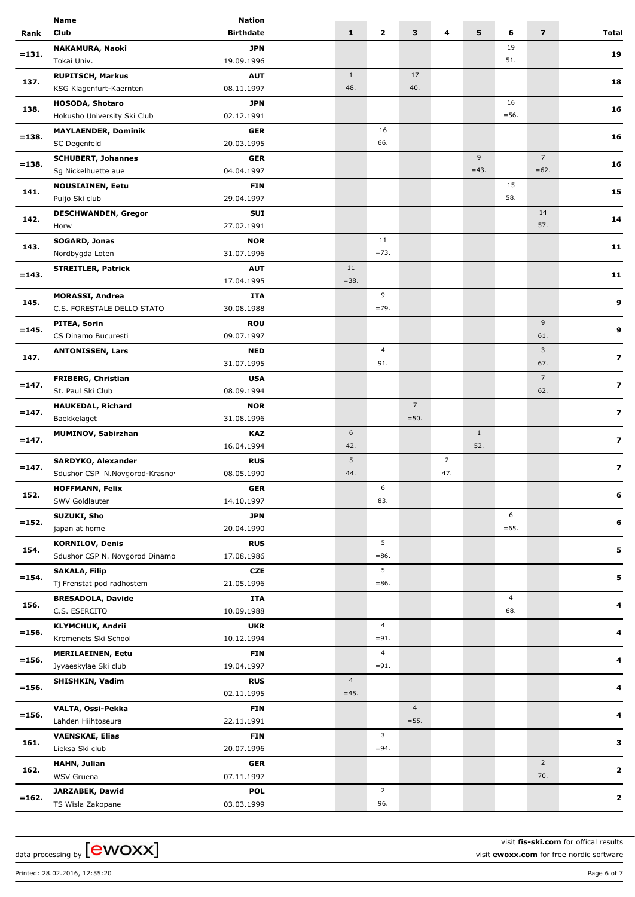|          | <b>Name</b>                                       | <b>Nation</b>            |                          |                |                |                |              |                |                         |                         |
|----------|---------------------------------------------------|--------------------------|--------------------------|----------------|----------------|----------------|--------------|----------------|-------------------------|-------------------------|
| Rank     | Club                                              | <b>Birthdate</b>         | $\mathbf{1}$             | $\mathbf{2}$   | 3              | 4              | 5            | 6              | $\overline{\mathbf{z}}$ | Total                   |
|          | NAKAMURA, Naoki                                   | <b>JPN</b>               |                          |                |                |                |              | 19             |                         |                         |
| $= 131.$ | Tokai Univ.                                       | 19.09.1996               |                          |                |                |                |              | 51.            |                         | 19                      |
|          | <b>RUPITSCH, Markus</b>                           | <b>AUT</b>               | $\mathbf{1}$             |                | 17             |                |              |                |                         |                         |
| 137.     | KSG Klagenfurt-Kaernten                           | 08.11.1997               | 48.                      |                | 40.            |                |              |                |                         | 18                      |
|          | <b>HOSODA, Shotaro</b>                            | JPN                      |                          |                |                |                |              | 16             |                         |                         |
| 138.     | Hokusho University Ski Club                       | 02.12.1991               |                          |                |                |                |              | $= 56.$        |                         | 16                      |
|          | <b>MAYLAENDER, Dominik</b>                        | <b>GER</b>               |                          | 16             |                |                |              |                |                         |                         |
| $= 138.$ | SC Degenfeld                                      | 20.03.1995               |                          | 66.            |                |                |              |                |                         | 16                      |
|          |                                                   | <b>GER</b>               |                          |                |                |                | 9            |                | $\overline{7}$          |                         |
| $= 138.$ | <b>SCHUBERT, Johannes</b><br>Sg Nickelhuette aue  | 04.04.1997               |                          |                |                |                | $=43.$       |                | $=62.$                  | 16                      |
|          |                                                   |                          |                          |                |                |                |              | 15             |                         |                         |
| 141.     | <b>NOUSIAINEN, Eetu</b>                           | <b>FIN</b>               |                          |                |                |                |              | 58.            |                         | 15                      |
|          | Puijo Ski club                                    | 29.04.1997               |                          |                |                |                |              |                |                         |                         |
| 142.     | <b>DESCHWANDEN, Gregor</b>                        | SUI                      |                          |                |                |                |              |                | 14                      | 14                      |
|          | Horw                                              | 27.02.1991               |                          |                |                |                |              |                | 57.                     |                         |
| 143.     | SOGARD, Jonas                                     | <b>NOR</b>               |                          | 11             |                |                |              |                |                         | 11                      |
|          | Nordbygda Loten                                   | 31.07.1996               |                          | $=73.$         |                |                |              |                |                         |                         |
| $= 143.$ | <b>STREITLER, Patrick</b>                         | <b>AUT</b>               | 11                       |                |                |                |              |                |                         | 11                      |
|          |                                                   | 17.04.1995               | $= 38.$                  |                |                |                |              |                |                         |                         |
| 145.     | <b>MORASSI, Andrea</b>                            | <b>ITA</b>               |                          | 9              |                |                |              |                |                         | 9                       |
|          | C.S. FORESTALE DELLO STATO                        | 30.08.1988               |                          | $=79.$         |                |                |              |                |                         |                         |
| $= 145.$ | PITEA, Sorin                                      | <b>ROU</b>               |                          |                |                |                |              |                | 9                       | 9                       |
|          | CS Dinamo Bucuresti                               | 09.07.1997               |                          |                |                |                |              |                | 61.                     |                         |
| 147.     | <b>ANTONISSEN, Lars</b>                           | <b>NED</b>               |                          | $\overline{4}$ |                |                |              |                | 3                       | $\overline{\mathbf{z}}$ |
|          |                                                   | 31.07.1995               |                          | 91.            |                |                |              |                | 67.                     |                         |
|          | <b>FRIBERG, Christian</b>                         | <b>USA</b>               |                          |                |                |                |              |                | $7\overline{ }$         |                         |
| $= 147.$ | St. Paul Ski Club                                 | 08.09.1994               |                          |                |                |                |              |                | 62.                     | $\overline{z}$          |
|          | <b>HAUKEDAL, Richard</b>                          | <b>NOR</b>               |                          |                | $7^{\circ}$    |                |              |                |                         |                         |
| $= 147.$ | Baekkelaget                                       | 31.08.1996               |                          |                | $=50.$         |                |              |                |                         | $\overline{\mathbf{z}}$ |
| $= 147.$ | <b>MUMINOV, Sabirzhan</b>                         | KAZ                      | 6                        |                |                |                | $\mathbf{1}$ |                |                         |                         |
|          |                                                   | 16.04.1994               | 42.                      |                |                |                | 52.          |                |                         | $\overline{\mathbf{z}}$ |
|          | SARDYKO, Alexander                                | <b>RUS</b>               | 5                        |                |                | $\overline{2}$ |              |                |                         |                         |
| $= 147.$ | Sdushor CSP N.Novgorod-Krasnoy                    | 08.05.1990               | 44.                      |                |                | 47.            |              |                |                         | $\overline{\mathbf{z}}$ |
|          | <b>HOFFMANN, Felix</b>                            | <b>GER</b>               |                          | 6              |                |                |              |                |                         |                         |
| 152.     | SWV Goldlauter                                    | 14.10.1997               |                          | 83.            |                |                |              |                |                         |                         |
|          | SUZUKI, Sho                                       | <b>JPN</b>               |                          |                |                |                |              | 6              |                         |                         |
| $= 152.$ | japan at home                                     | 20.04.1990               |                          |                |                |                |              | $=65.$         |                         | 6                       |
|          | <b>KORNILOV, Denis</b>                            | <b>RUS</b>               |                          | 5              |                |                |              |                |                         |                         |
| 154.     | Sdushor CSP N. Novgorod Dinamo                    | 17.08.1986               |                          | $= 86.$        |                |                |              |                |                         | 5                       |
|          |                                                   | <b>CZE</b>               |                          | 5              |                |                |              |                |                         |                         |
| $= 154.$ | <b>SAKALA, Filip</b><br>Tj Frenstat pod radhostem | 21.05.1996               |                          | $= 86.$        |                |                |              |                |                         | 5                       |
|          | <b>BRESADOLA, Davide</b>                          | <b>ITA</b>               |                          |                |                |                |              | $\overline{4}$ |                         |                         |
| 156.     | C.S. ESERCITO                                     | 10.09.1988               |                          |                |                |                |              | 68.            |                         | 4                       |
|          | <b>KLYMCHUK, Andrii</b>                           | <b>UKR</b>               |                          | $\overline{4}$ |                |                |              |                |                         |                         |
| $= 156.$ | Kremenets Ski School                              | 10.12.1994               |                          | $= 91.$        |                |                |              |                |                         | 4                       |
|          |                                                   |                          |                          | $\overline{4}$ |                |                |              |                |                         |                         |
| $= 156.$ | <b>MERILAEINEN, Eetu</b><br>Jyvaeskylae Ski club  | <b>FIN</b><br>19.04.1997 |                          | $= 91.$        |                |                |              |                |                         | 4                       |
|          |                                                   |                          |                          |                |                |                |              |                |                         |                         |
| $= 156.$ | <b>SHISHKIN, Vadim</b>                            | <b>RUS</b>               | $\overline{4}$<br>$=45.$ |                |                |                |              |                |                         | 4                       |
|          |                                                   | 02.11.1995               |                          |                |                |                |              |                |                         |                         |
| $= 156.$ | VALTA, Ossi-Pekka                                 | <b>FIN</b>               |                          |                | $\overline{4}$ |                |              |                |                         | 4                       |
|          | Lahden Hiihtoseura                                | 22.11.1991               |                          |                | $= 55.$        |                |              |                |                         |                         |
| 161.     | <b>VAENSKAE, Elias</b>                            | <b>FIN</b>               |                          | 3              |                |                |              |                |                         | 3                       |
|          | Lieksa Ski club                                   | 20.07.1996               |                          | $= 94.$        |                |                |              |                |                         |                         |
| 162.     | <b>HAHN, Julian</b>                               | <b>GER</b>               |                          |                |                |                |              |                | $\overline{2}$          | $\mathbf{2}$            |
|          | WSV Gruena                                        | 07.11.1997               |                          |                |                |                |              |                | 70.                     |                         |
| $= 162.$ | JARZABEK, Dawid                                   | <b>POL</b>               |                          | $\overline{2}$ |                |                |              |                |                         | $\mathbf{2}$            |
|          | TS Wisla Zakopane                                 | 03.03.1999               |                          | 96.            |                |                |              |                |                         |                         |

visit **fis-ski.com** for offical results visit **ewoxx.com** for free nordic software

Printed: 28.02.2016, 12:55:20 Page 6 of 7